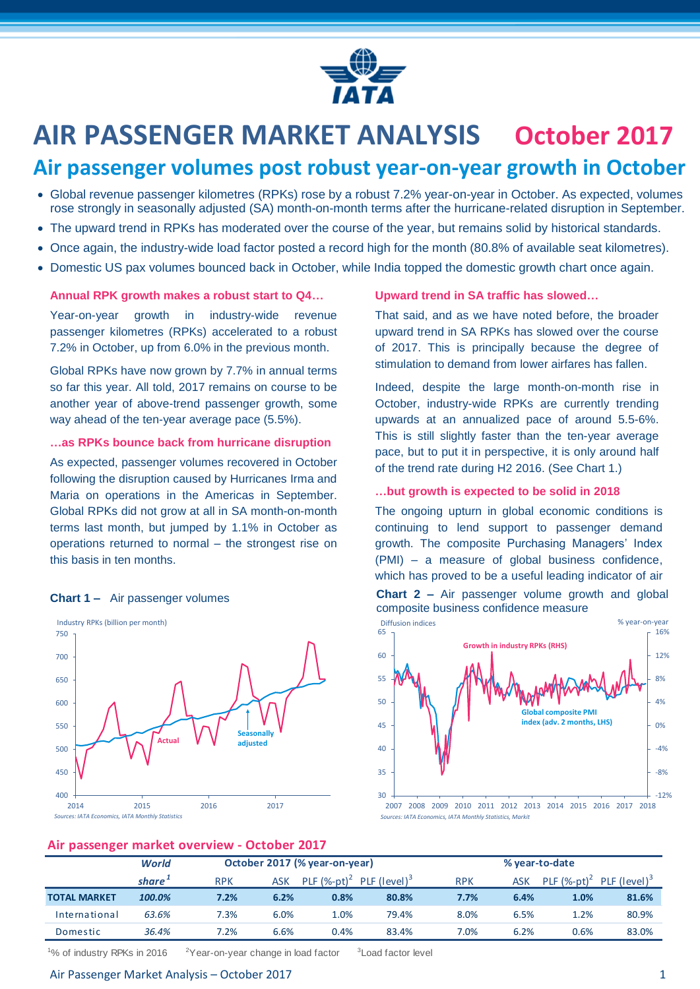

# **AIR PASSENGER MARKET ANALYSIS October 2017**

## **Air passenger volumes post robust year-on-year growth in October**

- Global revenue passenger kilometres (RPKs) rose by a robust 7.2% year-on-year in October. As expected, volumes rose strongly in seasonally adjusted (SA) month-on-month terms after the hurricane-related disruption in September.
- The upward trend in RPKs has moderated over the course of the year, but remains solid by historical standards.
- Once again, the industry-wide load factor posted a record high for the month (80.8% of available seat kilometres).
- Domestic US pax volumes bounced back in October, while India topped the domestic growth chart once again.

#### **Annual RPK growth makes a robust start to Q4…**

Year-on-year growth in industry-wide revenue passenger kilometres (RPKs) accelerated to a robust 7.2% in October, up from 6.0% in the previous month.

Global RPKs have now grown by 7.7% in annual terms so far this year. All told, 2017 remains on course to be another year of above-trend passenger growth, some way ahead of the ten-year average pace (5.5%).

#### **…as RPKs bounce back from hurricane disruption**

As expected, passenger volumes recovered in October following the disruption caused by Hurricanes Irma and Maria on operations in the Americas in September. Global RPKs did not grow at all in SA month-on-month terms last month, but jumped by 1.1% in October as operations returned to normal – the strongest rise on this basis in ten months.



#### **Air passenger market overview - October 2017**

#### **Upward trend in SA traffic has slowed…**

That said, and as we have noted before, the broader upward trend in SA RPKs has slowed over the course of 2017. This is principally because the degree of stimulation to demand from lower airfares has fallen.

Indeed, despite the large month-on-month rise in October, industry-wide RPKs are currently trending upwards at an annualized pace of around 5.5-6%. This is still slightly faster than the ten-year average pace, but to put it in perspective, it is only around half of the trend rate during H2 2016. (See Chart 1.)

#### **…but growth is expected to be solid in 2018**

The ongoing upturn in global economic conditions is continuing to lend support to passenger demand growth. The composite Purchasing Managers' Index (PMI) – a measure of global business confidence, which has proved to be a useful leading indicator of air



**Chart 1** – Air passenger volumes **Chart 2** – Air passenger volume growth and global composite business confidence measure

| .                   |                    |                               |      |                |                          |                |            |                             |                          |
|---------------------|--------------------|-------------------------------|------|----------------|--------------------------|----------------|------------|-----------------------------|--------------------------|
|                     | <b>World</b>       | October 2017 (% year-on-year) |      |                |                          | % year-to-date |            |                             |                          |
|                     | share <sup>+</sup> | <b>RPK</b>                    | ASK  | PLF $(%-pt)^2$ | PLF (level) <sup>3</sup> | <b>RPK</b>     | <b>ASK</b> | PLF $(\%$ -pt) <sup>2</sup> | PLF (level) <sup>3</sup> |
| <b>TOTAL MARKET</b> | 100.0%             | 7.2%                          | 6.2% | 0.8%           | 80.8%                    | 7.7%           | 6.4%       | 1.0%                        | 81.6%                    |
| International       | 63.6%              | 7.3%                          | 6.0% | 1.0%           | 79.4%                    | 8.0%           | 6.5%       | 1.2%                        | 80.9%                    |
| Domestic            | 36.4%              | 7.2%                          | 6.6% | 0.4%           | 83.4%                    | 7.0%           | 6.2%       | 0.6%                        | 83.0%                    |

<sup>1</sup>% of industry RPKs in 2016  $2^2$ Year-on-year change in load factor <sup>3</sup> Load factor level

#### Air Passenger Market Analysis – October 2017 1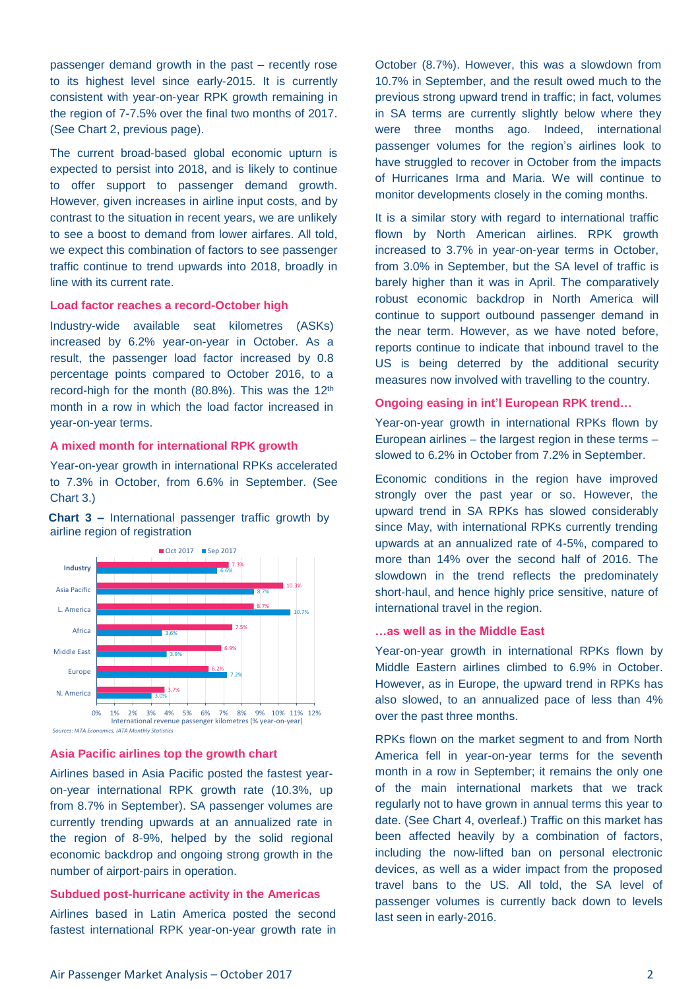passenger demand growth in the past – recently rose to its highest level since early-2015. It is currently consistent with year-on-year RPK growth remaining in the region of 7-7.5% over the final two months of 2017. (See Chart 2, previous page).

The current broad-based global economic upturn is expected to persist into 2018, and is likely to continue to offer support to passenger demand growth. However, given increases in airline input costs, and by contrast to the situation in recent years, we are unlikely to see a boost to demand from lower airfares. All told, we expect this combination of factors to see passenger traffic continue to trend upwards into 2018, broadly in line with its current rate.

#### **Load factor reaches a record-October high**

Industry-wide available seat kilometres (ASKs) increased by 6.2% year-on-year in October. As a result, the passenger load factor increased by 0.8 percentage points compared to October 2016, to a record-high for the month (80.8%). This was the 12<sup>th</sup> month in a row in which the load factor increased in year-on-year terms.

#### **A mixed month for international RPK growth**

Year-on-year growth in international RPKs accelerated to 7.3% in October, from 6.6% in September. (See Chart 3.)

**Chart 3 –** International passenger traffic growth by airline region of registration



#### **Asia Pacific airlines top the growth chart**

Airlines based in Asia Pacific posted the fastest yearon-year international RPK growth rate (10.3%, up from 8.7% in September). SA passenger volumes are currently trending upwards at an annualized rate in the region of 8-9%, helped by the solid regional economic backdrop and ongoing strong growth in the number of airport-pairs in operation.

#### **Subdued post-hurricane activity in the Americas**

Airlines based in Latin America posted the second fastest international RPK year-on-year growth rate in

October (8.7%). However, this was a slowdown from 10.7% in September, and the result owed much to the previous strong upward trend in traffic; in fact, volumes in SA terms are currently slightly below where they were three months ago. Indeed, international passenger volumes for the region's airlines look to have struggled to recover in October from the impacts of Hurricanes Irma and Maria. We will continue to monitor developments closely in the coming months.

It is a similar story with regard to international traffic flown by North American airlines. RPK growth increased to 3.7% in year-on-year terms in October, from 3.0% in September, but the SA level of traffic is barely higher than it was in April. The comparatively robust economic backdrop in North America will continue to support outbound passenger demand in the near term. However, as we have noted before, reports continue to indicate that inbound travel to the US is being deterred by the additional security measures now involved with travelling to the country.

#### **Ongoing easing in int'l European RPK trend…**

Year-on-year growth in international RPKs flown by European airlines – the largest region in these terms – slowed to 6.2% in October from 7.2% in September.

Economic conditions in the region have improved strongly over the past year or so. However, the upward trend in SA RPKs has slowed considerably since May, with international RPKs currently trending upwards at an annualized rate of 4-5%, compared to more than 14% over the second half of 2016. The slowdown in the trend reflects the predominately short-haul, and hence highly price sensitive, nature of international travel in the region.

#### **…as well as in the Middle East**

Year-on-year growth in international RPKs flown by Middle Eastern airlines climbed to 6.9% in October. However, as in Europe, the upward trend in RPKs has also slowed, to an annualized pace of less than 4% over the past three months.

RPKs flown on the market segment to and from North America fell in year-on-year terms for the seventh month in a row in September; it remains the only one of the main international markets that we track regularly not to have grown in annual terms this year to date. (See Chart 4, overleaf.) Traffic on this market has been affected heavily by a combination of factors, including the now-lifted ban on personal electronic devices, as well as a wider impact from the proposed travel bans to the US. All told, the SA level of passenger volumes is currently back down to levels last seen in early-2016.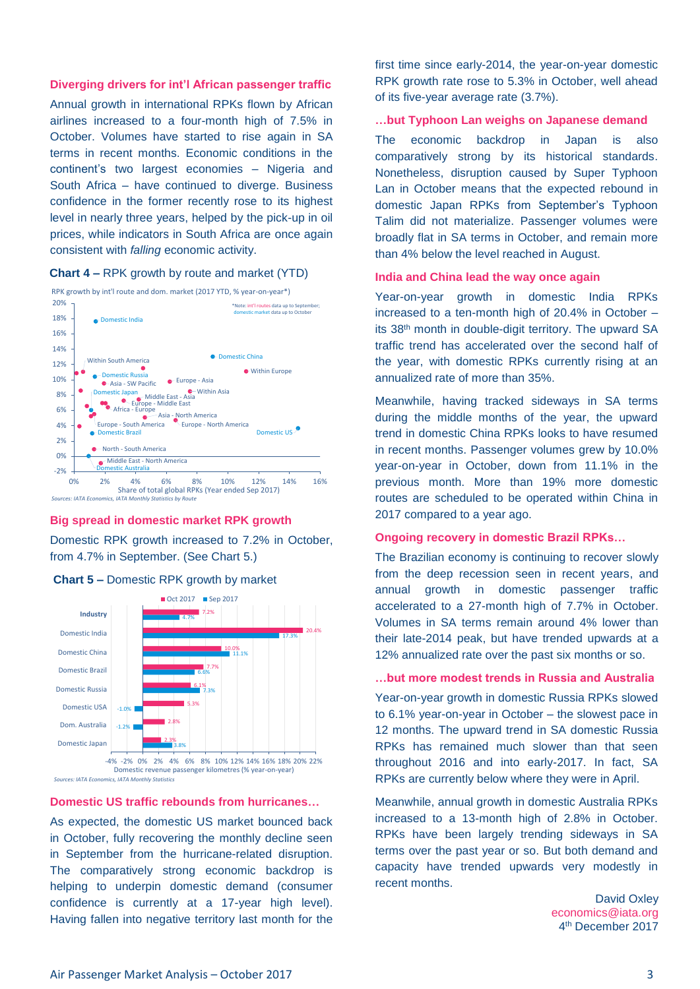#### **Diverging drivers for int'l African passenger traffic**

Annual growth in international RPKs flown by African airlines increased to a four-month high of 7.5% in October. Volumes have started to rise again in SA terms in recent months. Economic conditions in the continent's two largest economies – Nigeria and South Africa – have continued to diverge. Business confidence in the former recently rose to its highest level in nearly three years, helped by the pick-up in oil prices, while indicators in South Africa are once again consistent with *falling* economic activity.

#### **Chart 4 –** RPK growth by route and market (YTD)



#### **Big spread in domestic market RPK growth**

Domestic RPK growth increased to 7.2% in October, from 4.7% in September. (See Chart 5.)





#### **Domestic US traffic rebounds from hurricanes…**

As expected, the domestic US market bounced back in October, fully recovering the monthly decline seen in September from the hurricane-related disruption. The comparatively strong economic backdrop is helping to underpin domestic demand (consumer confidence is currently at a 17-year high level). Having fallen into negative territory last month for the

first time since early-2014, the year-on-year domestic RPK growth rate rose to 5.3% in October, well ahead of its five-year average rate (3.7%).

#### **…but Typhoon Lan weighs on Japanese demand**

The economic backdrop in Japan is also comparatively strong by its historical standards. Nonetheless, disruption caused by Super Typhoon Lan in October means that the expected rebound in domestic Japan RPKs from September's Typhoon Talim did not materialize. Passenger volumes were broadly flat in SA terms in October, and remain more than 4% below the level reached in August.

#### **India and China lead the way once again**

Year-on-year growth in domestic India RPKs increased to a ten-month high of 20.4% in October – its 38th month in double-digit territory. The upward SA traffic trend has accelerated over the second half of the year, with domestic RPKs currently rising at an annualized rate of more than 35%.

Meanwhile, having tracked sideways in SA terms during the middle months of the year, the upward trend in domestic China RPKs looks to have resumed in recent months. Passenger volumes grew by 10.0% year-on-year in October, down from 11.1% in the previous month. More than 19% more domestic routes are scheduled to be operated within China in 2017 compared to a year ago.

#### **Ongoing recovery in domestic Brazil RPKs…**

The Brazilian economy is continuing to recover slowly from the deep recession seen in recent years, and annual growth in domestic passenger traffic accelerated to a 27-month high of 7.7% in October. Volumes in SA terms remain around 4% lower than their late-2014 peak, but have trended upwards at a 12% annualized rate over the past six months or so.

#### **…but more modest trends in Russia and Australia**

Year-on-year growth in domestic Russia RPKs slowed to 6.1% year-on-year in October – the slowest pace in 12 months. The upward trend in SA domestic Russia RPKs has remained much slower than that seen throughout 2016 and into early-2017. In fact, SA RPKs are currently below where they were in April.

Meanwhile, annual growth in domestic Australia RPKs increased to a 13-month high of 2.8% in October. RPKs have been largely trending sideways in SA terms over the past year or so. But both demand and capacity have trended upwards very modestly in recent months.

> David Oxley [economics@iata.org](mailto:economics@iata.org) 4 th December 2017